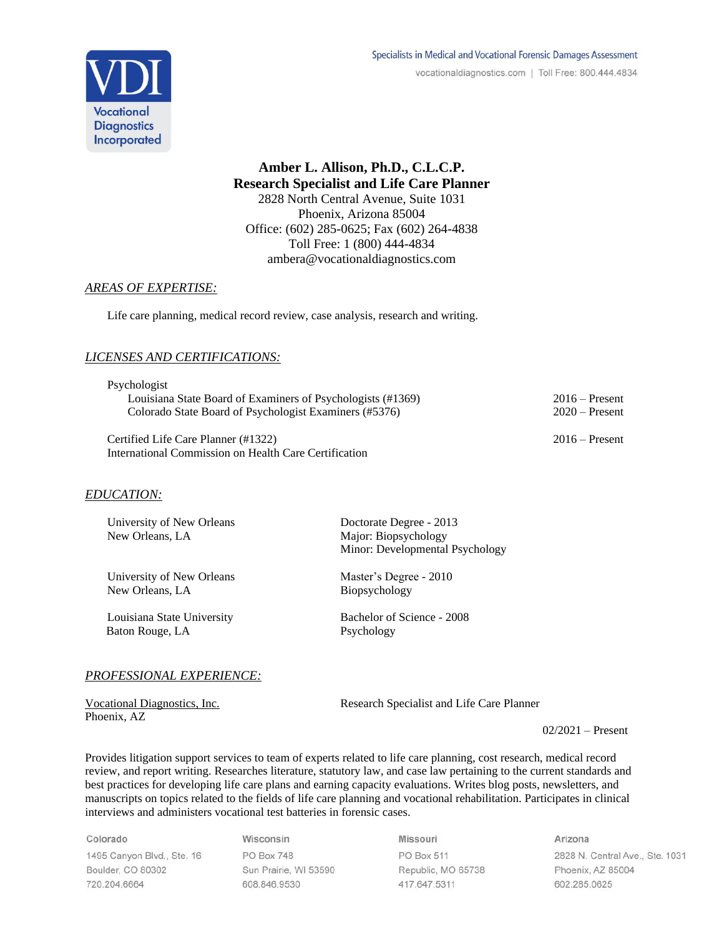

**Amber L. Allison, Ph.D., C.L.C.P. Research Specialist and Life Care Planner** 2828 North Central Avenue, Suite 1031 Phoenix, Arizona 85004 Office: (602) 285-0625; Fax (602) 264-4838 Toll Free: 1 (800) 444-4834 ambera@vocationaldiagnostics.com

## *AREAS OF EXPERTISE:*

Life care planning, medical record review, case analysis, research and writing.

# *LICENSES AND CERTIFICATIONS:*

| Psychologist                                                |                  |
|-------------------------------------------------------------|------------------|
| Louisiana State Board of Examiners of Psychologists (#1369) | $2016 -$ Present |
| Colorado State Board of Psychologist Examiners (#5376)      | $2020$ – Present |
|                                                             |                  |

Certified Life Care Planner (#1322) 2016 – Present International Commission on Health Care Certification

# *EDUCATION:*

| University of New Orleans<br>New Orleans, LA | Doctorate Degree - 2013<br>Major: Biopsychology<br>Minor: Developmental Psychology |
|----------------------------------------------|------------------------------------------------------------------------------------|
| University of New Orleans                    | Master's Degree - 2010                                                             |
| New Orleans, LA                              | Biopsychology                                                                      |
| Louisiana State University                   | Bachelor of Science - 2008                                                         |
| Baton Rouge, LA                              | Psychology                                                                         |

# *PROFESSIONAL EXPERIENCE:*

Phoenix, AZ

Vocational Diagnostics, Inc. Research Specialist and Life Care Planner

02/2021 – Present

Provides litigation support services to team of experts related to life care planning, cost research, medical record review, and report writing. Researches literature, statutory law, and case law pertaining to the current standards and best practices for developing life care plans and earning capacity evaluations. Writes blog posts, newsletters, and manuscripts on topics related to the fields of life care planning and vocational rehabilitation. Participates in clinical interviews and administers vocational test batteries in forensic cases.

Colorado 1495 Canyon Blvd., Ste. 16 Boulder, CO 80302 720.204.6664

Wisconsin PO Box 748 Sun Prairie, WI 53590 608.846.9530

Missouri PO Box 511 Republic, MO 65738 417.647.5311

Arizona 2828 N. Central Ave., Ste. 1031 Phoenix, AZ 85004 602.285.0625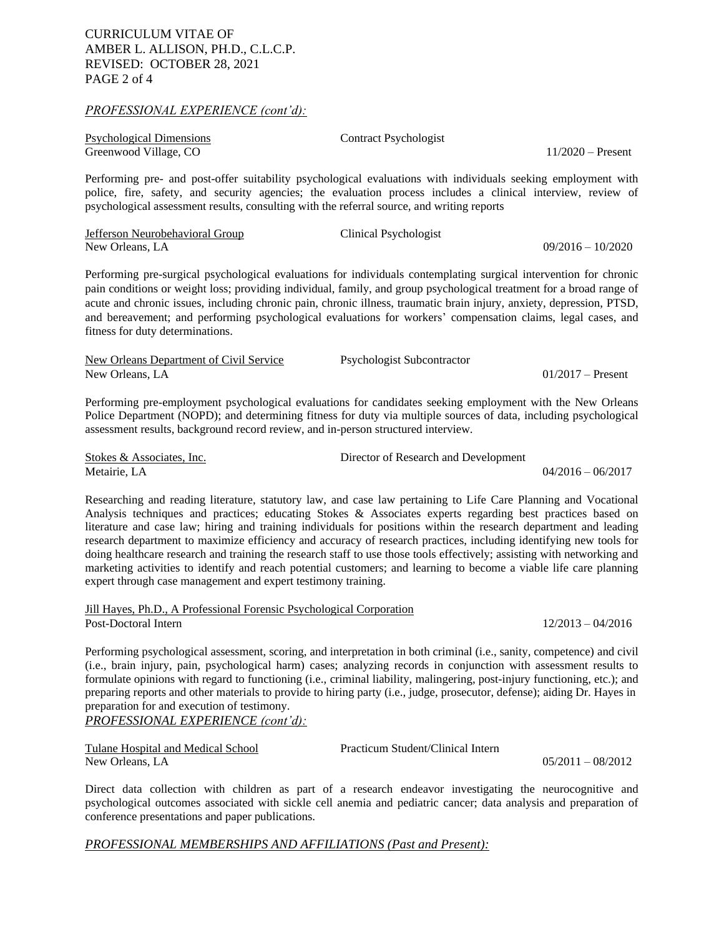#### *PROFESSIONAL EXPERIENCE (cont'd):*

| Psychological Dimensions | <b>Contract Psychologist</b> |                     |
|--------------------------|------------------------------|---------------------|
| Greenwood Village, CO    |                              | $11/2020$ – Present |

Performing pre- and post-offer suitability psychological evaluations with individuals seeking employment with police, fire, safety, and security agencies; the evaluation process includes a clinical interview, review of psychological assessment results, consulting with the referral source, and writing reports

| Jefferson Neurobehavioral Group | Clinical Psychologist |
|---------------------------------|-----------------------|
| New Orleans, LA                 |                       |

Performing pre-surgical psychological evaluations for individuals contemplating surgical intervention for chronic pain conditions or weight loss; providing individual, family, and group psychological treatment for a broad range of acute and chronic issues, including chronic pain, chronic illness, traumatic brain injury, anxiety, depression, PTSD, and bereavement; and performing psychological evaluations for workers' compensation claims, legal cases, and fitness for duty determinations.

| New Orleans Department of Civil Service | Psychologist Subcontractor |                     |
|-----------------------------------------|----------------------------|---------------------|
| New Orleans, LA                         |                            | $01/2017 -$ Present |

Performing pre-employment psychological evaluations for candidates seeking employment with the New Orleans Police Department (NOPD); and determining fitness for duty via multiple sources of data, including psychological assessment results, background record review, and in-person structured interview.

| Stokes & Associates. Inc. | Director of Research and Development |                     |
|---------------------------|--------------------------------------|---------------------|
| Metairie. LA              |                                      | $04/2016 - 06/2017$ |

Researching and reading literature, statutory law, and case law pertaining to Life Care Planning and Vocational Analysis techniques and practices; educating Stokes & Associates experts regarding best practices based on literature and case law; hiring and training individuals for positions within the research department and leading research department to maximize efficiency and accuracy of research practices, including identifying new tools for doing healthcare research and training the research staff to use those tools effectively; assisting with networking and marketing activities to identify and reach potential customers; and learning to become a viable life care planning expert through case management and expert testimony training.

Jill Hayes, Ph.D., A Professional Forensic Psychological Corporation Post-Doctoral Intern 12/2013 – 04/2016

 $09/2016 - 10/2020$ 

Performing psychological assessment, scoring, and interpretation in both criminal (i.e., sanity, competence) and civil (i.e., brain injury, pain, psychological harm) cases; analyzing records in conjunction with assessment results to formulate opinions with regard to functioning (i.e., criminal liability, malingering, post-injury functioning, etc.); and preparing reports and other materials to provide to hiring party (i.e., judge, prosecutor, defense); aiding Dr. Hayes in preparation for and execution of testimony.

# *PROFESSIONAL EXPERIENCE (cont'd):*

| Tulane Hospital and Medical School | Practicum Student/Clinical Intern |                     |
|------------------------------------|-----------------------------------|---------------------|
| New Orleans, LA                    |                                   | $05/2011 - 08/2012$ |

Direct data collection with children as part of a research endeavor investigating the neurocognitive and psychological outcomes associated with sickle cell anemia and pediatric cancer; data analysis and preparation of conference presentations and paper publications.

## *PROFESSIONAL MEMBERSHIPS AND AFFILIATIONS (Past and Present):*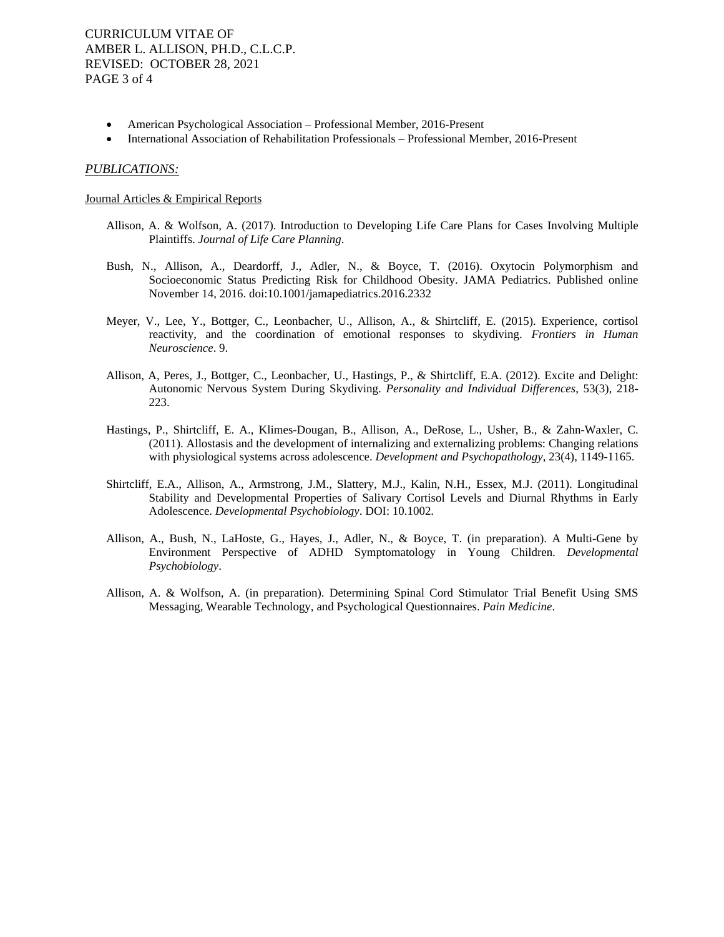CURRICULUM VITAE OF AMBER L. ALLISON, PH.D., C.L.C.P. REVISED: OCTOBER 28, 2021 PAGE 3 of 4

- American Psychological Association Professional Member, 2016-Present
- International Association of Rehabilitation Professionals Professional Member, 2016-Present

#### *PUBLICATIONS:*

#### Journal Articles & Empirical Reports

- Allison, A. & Wolfson, A. (2017). Introduction to Developing Life Care Plans for Cases Involving Multiple Plaintiffs. *Journal of Life Care Planning*.
- Bush, N., Allison, A., Deardorff, J., Adler, N., & Boyce, T. (2016). Oxytocin Polymorphism and Socioeconomic Status Predicting Risk for Childhood Obesity. JAMA Pediatrics. Published online November 14, 2016. doi:10.1001/jamapediatrics.2016.2332
- Meyer, V., Lee, Y., Bottger, C., Leonbacher, U., Allison, A., & Shirtcliff, E. (2015). Experience, cortisol reactivity, and the coordination of emotional responses to skydiving. *Frontiers in Human Neuroscience*. 9.
- Allison, A, Peres, J., Bottger, C., Leonbacher, U., Hastings, P., & Shirtcliff, E.A. (2012). Excite and Delight: Autonomic Nervous System During Skydiving. *Personality and Individual Differences*, 53(3), 218- 223.
- Hastings, P., Shirtcliff, E. A., Klimes-Dougan, B., Allison, A., DeRose, L., Usher, B., & Zahn-Waxler, C. (2011). Allostasis and the development of internalizing and externalizing problems: Changing relations with physiological systems across adolescence. *Development and Psychopathology*, 23(4), 1149-1165.
- Shirtcliff, E.A., Allison, A., Armstrong, J.M., Slattery, M.J., Kalin, N.H., Essex, M.J. (2011). Longitudinal Stability and Developmental Properties of Salivary Cortisol Levels and Diurnal Rhythms in Early Adolescence. *Developmental Psychobiology*. DOI: 10.1002.
- Allison, A., Bush, N., LaHoste, G., Hayes, J., Adler, N., & Boyce, T. (in preparation). A Multi-Gene by Environment Perspective of ADHD Symptomatology in Young Children. *Developmental Psychobiology*.
- Allison, A. & Wolfson, A. (in preparation). Determining Spinal Cord Stimulator Trial Benefit Using SMS Messaging, Wearable Technology, and Psychological Questionnaires. *Pain Medicine*.